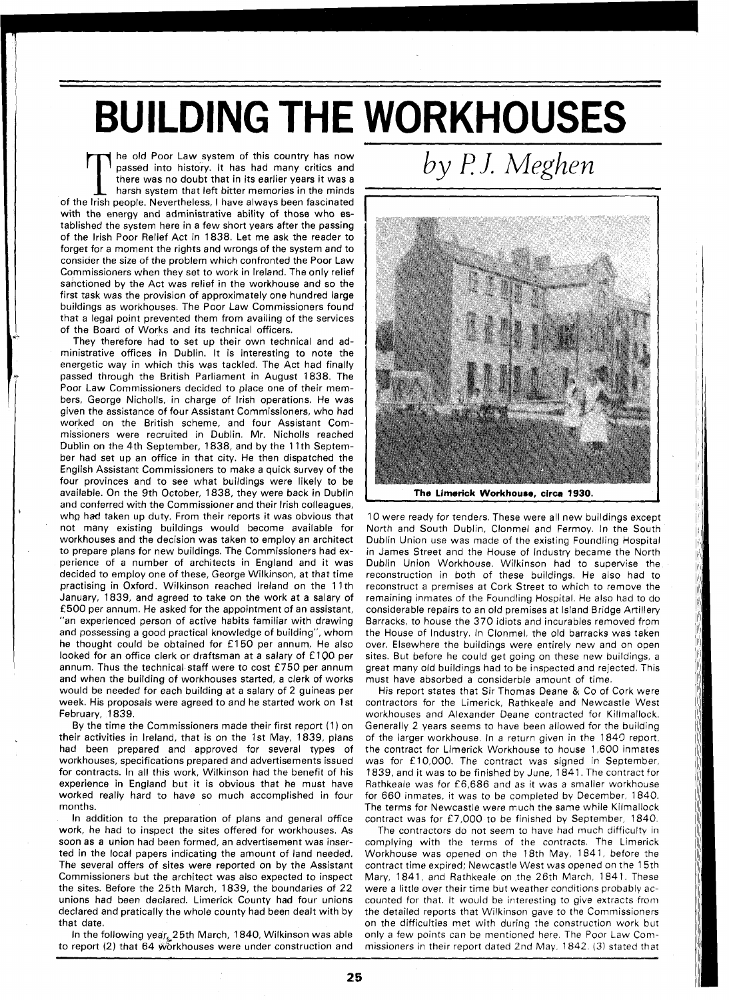## **BUILDING THE WORKHOUSES**

The old Poor Law system of this country has now passed into history. It has had many critics and there was no doubt that in its earlier years it was a harsh system that left bitter memories in the minds of the Irish people passed into history. It has had many critics and there was no doubt that in its earlier years it was a harsh system that left bitter memories in the minds with the energy and administrative ability of those who established the system here in a few short years after the passing of the lrish Poor Relief Act in 1838. Let me ask the reader to forget for a moment the rights and wrongs of the system and to consider the size of the problem which confronted the Poor Law Commissioners when they set to work in Ireland. The only relief sanctioned by the Act was relief in the workhouse and so the first task was the provision of approximately one hundred large buildings as workhouses. The Poor Law Commissioners found that a legal point prevented them from availing of the services of the Board of Works and its technical officers.

They therefore had to set up their own technical and administrative offices in Dublin. It is interesting to note the energetic way in which this was tackled. The Act had finally passed through the British Parliament in August 1838. The Poor Law Commissioners decided to place one of their members, George Nicholls, in charge of lrish operations. He was given the assistance of four Assistant Commissioners, who had worked on the British scheme, and four Assistant Commissioners were recruited in Dublin. Mr. Nicholls reached Dublin on the 4th September, 1838, and by the 11th September had set up an office in that city. He then dispatched the English Assistant Commissioners to make a quick survey of the four provinces and to see what buildings were likely to be available. On the 9th October, 1838, they were back in Dublin and conferred with the Commissioner and their lrish colleagues, who had taken up duty. From their reports it was obvious that not many existing buildings would become available for workhouses and the decision was taken to employ an architect to prepare plans for new buildings. The Commissioners had experience of a number of architects in England and it was decided to employ one of these, George Wilkinson, at that time practising in Oxford. Wilkinson reached Ireland on the 11th January, 1839, and agreed to take on the work at a salary of **f** 500 per annum. He asked for the appointment of an assistant, "an experienced person of active habits familiar with drawing and possessing a good practical knowledge of building", whom he thought could be obtained for £150 per annum. He also looked for an office clerk or draftsman at a salary of £100 per annum. Thus the technical staff were to cost **f** 750 per annum and when the building of workhouses started, a clerk of works would be needed for each building at a salary of 2 guineas per week. His proposals were agreed to and he started work on l st February, 1839.

By the time the Commissioners made their first report (1) on their activities in Ireland, that is on the 1st May, 1839, plans had been prepared and approved for several types of workhouses, specifications prepared and advertisements issued for contracts. In all this work, Wilkinson had the benefit of his experience in England but it is obvious that he must have worked really hard to have so much accomplished in four months.

In addition to the preparation of plans and general office work, he had to inspect the sites offered for workhouses. As soon as a union had been formed, an advertisement was inserted in the local papers indicating the amount of land needed. The several offers of sites were reported on by the Assistant Commissioners but the architect was also expected to inspect the sites. Before the 25th March, 1839, the boundaries of 22 unions had been declared. Limerick County had four unions declared and pratically the whole county had been dealt with by that date.

In the following year 25th March, 1840, Wilkinson was able to report (2) that 64 workhouses were under construction and

*by P J. Meghen* 



**The Limerick Workhouse, circa 1930.** 

10 were ready for tenders. These were all new buildings except North and South Dublin, Clonmel and Fermoy. In the South Dublin Union use was made of the existing Foundling Hospital in James Street and the House of Industry became the North Dublin Union Workhouse. Wilkinson had to supervise the reconstruction in both of these buildings. He also had to reconstruct a premises at Cork Street to which to remove the remaining inmates of the Foundling Hospital. He also had to do considerable repairs to an old premises at Island Bridge Artillery Barracks, to house the 370 idiots and incurables removed from the House of Industry. In Clonmel, the old barracks was taken over. Elsewhere the buildings were entirely new and on open sites. But before he could get going on these new buildings, a great many old buildings had to be inspected and rejected. This must have absorbed a considerble amount of time.

His report states that Sir Thomas Deane & Co of Cork were contractors for the Limerick, Rathkeale and Newcastle West workhouses and Alexander Deane contracted for Killmallock. Generally 2 years seems to have been allowed for the building of the larger workhouse. In a return given in the 1843 report, the contract for Limerick Workhouse to house 1,600 inmates was for £10,000. The contract was signed in September, 1839, and it was to be finished by June, 1841. The contract for Rathkeale was for £6,686 and as it was a smaller workhouse for 660 inmates, it was to be completed by December. 1840. The terms for Newcastle were much the same while Kilmallock contract was for £7,000 to be finished by September, 1840.

The contractors do not seem to have had much difficulty in complying with the terms of the contracts. The Limerick Workhouse was opened on the 18th May, 1841, before the contract time expired; Newcastle West was opened on the 15th Mary, 1841, and Rathkeale on the 26th March, 1841. These were a little over their time but weather conditions probably accounted for that. It would be interesting to give extracts from the detailed reports that Wilkinson gave to the Commissioners on the difficulties met with during the construction work but only a few points can be mentioned here. The Poor Law Commissioners in their report dated 2nd May, 1842. *(3)* stated that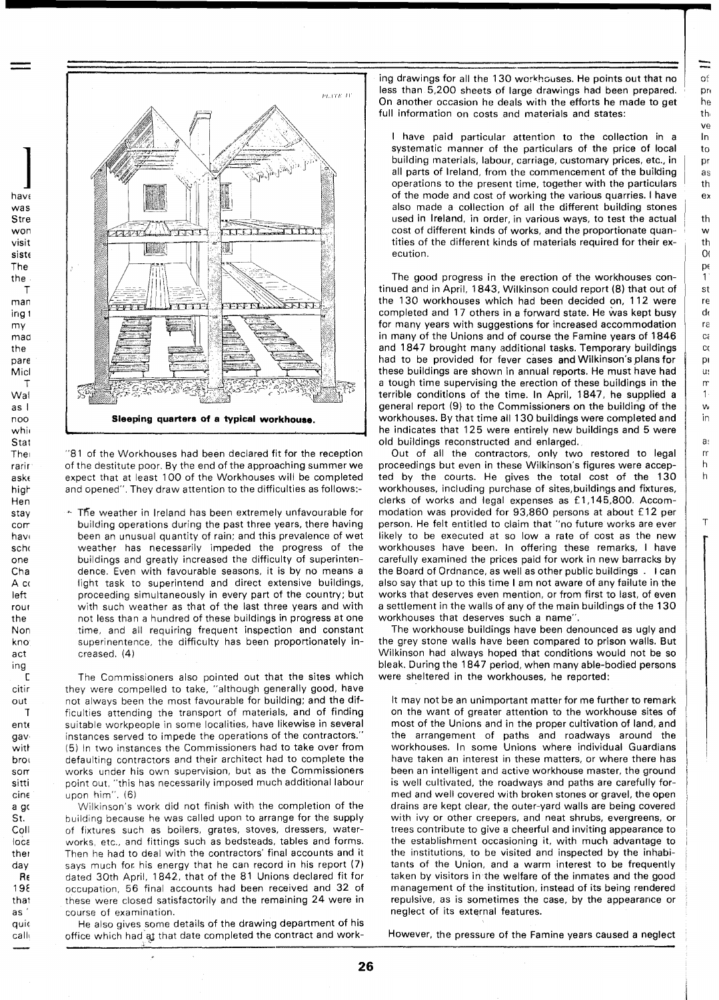$\alpha$ <sup> $\epsilon$ </sup> **pr** he th. ve  $\ln$ to Dr **as** th  $e<sub>x</sub>$ th w  $<sub>th</sub>$ </sub>  $O($ pε  $\mathbf{1}$ st re d ra  $C\acute{\epsilon}$  $C($ D)  $\mathbf{u}$  $\mathsf{r}$  $\mathbf{1}$  $\mathsf{w}$ in  $a$  $\mathsf{r}$  $\mathsf{h}$ 

h

 $\mathbf{T}$ 

 $\equiv$ 



 $\prod_{\mathcal{U}}$ haw was Stre won visit siste The the T man ing l my maa the pare Micl T Wal as I n oo whi~ **Stat** The rarir askt higt-Hen stay corr have schc one Cha A co left rou r the Non kno act ing C citir out **1**  entc gav witt broi sort sitti cin~ a g< St. Coll loca ther day R<sub>6</sub> 19E thal as ' quic call1

"81 of the Workhouses had been declared fit for the reception of the destitute poor, By the end of the approaching summer we expect that at least 100 of the Workhouses will be completed and opened". They draw attention to the difficulties as follows:-

\* The weather in Ireland has been extremely unfavourable for building operations during the past three years, there having beer, an unusual quantity of rain; and this prevalence of wet weather has necessarily impeded the progress of the buildings and greatly increased the difficulty of superintendence. Even with favourable seasons, it is by no means a light task to superintend and direct extensive buildings, proceeding simultaneously in every part of the country; but with such weather as that of the last three years and with not less than a hundred of these buildings in progress at one time, and all requiring frequent inspection and constant superinentence, the difficulty has been proportionately increased. (4)

The Commissioners also pointed out that the sites which they were compelled to take, "although generally good, have not always been the most favourable for building; and the difficulties attending the transport of materials, and of finding suitable workpeople in some localities, have likewise in several instances served to impede the operations of the contractors. (5) In two instances the Commissioners had to take over from defaulting contractors and their architect had to complete the works under his own supervision, but as the Commissioners point out, "this has necessarily imposed much additional labour upon him". (6)

Wilkinson's work did not finish with the completion of the building because he was called upon to arrange for the supply of fixtures such as boilers, grates, stoves, dressers, waterworks, etc., and fittings such as bedsteads, tables and forms. Then he had to deal with the contractors' final accounts and it says much for his energy that he can record in his report (7) dated 30th April, 1842, that of the 81 Unions declared fit for occupation, 56 final accounts had been received and 32 of these were closed satisfactorily and the remaining 24 were in course of examination.

He also gives some details of the drawing department of his office which had at that date completed the contract and working drawings for all the 130 workhouses. He points out that no less than 5,200 sheets of large drawings had been prepared. On another occasion he deals with the efforts he made to get full information on costs and materials and states:

l have paid particular attention to the collection in a systematic manner of the particulars of the price of local building materials, labour, carriage, customary prices, etc., in all parts of Ireland, from the commencement of the building operations to the present time, together with the particulars of the mode and cost of working the various quarries. I have also made a collection of all the different building stones used in Ireland, in order, in various ways, to test the actual cost of different kinds of works, and the proportionate quantities of the different kinds of materials required for their execution.

The good progress in the erection of the workhouses continued and in April, 1843, Wilkinson could report (8) that out of the 130 workhouses which had been decided on, 112 were completed and 17 others in a forward state. He was kept busy for many years with suggestions for increased accommodation in many of the Unions and of course the Famine years of 1846 and 1847 brought many additional tasks. Temporary buildings had to be provided for fever cases and Wilkinson's plans for these buildings are shown in annual reports. He must have had a tough time supervising the erection of these buildings in the terrible conditions of the time. In April, 1847, he supplied a general report (9) to the Commissioners on the building of the workhouses. By that time all 130 buildings were completed and he indicates that 125 were entirely new buildings and 5 were old buildings reconstructed and enlarged.

Out of all the contractors, only two restored to legal proceedings but even in these Wilkinson's figures were accepted by the courts. He gives the total cost of the 130 workhouses, including purchase of sites,buildings and fixtures, clerks of works and legal expenses as £1,145,800. Accommodation was provided for 93,860 persons at about £12 per person. He felt entitled to claim that "no future works are ever likely to be executed at so low a rate of cost as the new workhouses have been. In offering these remarks, I have carefully examined the prices paid for work in new barracks by the Board of Ordnance, as well as other public buildings . l can also say that up to this time I am not aware of any failute in the works that deserves even mention, or from first to last, of even a settlement in the walls of any of the main buildings of the 130 workhouses that deserves such a name".

The workhouse buildings have been denounced as ugly and the grey stone walls have been compared to prison walls. But Wilkinson had always hoped that conditions would not be so bleak. During the 1847 period, when many able-bodied persons were sheltered in the workhouses, he reported:

It may not be an unimportant matter for me further to remark on the want of greater attention to the workhouse sites of most of the Unions and in the proper cultivation of land, and the arrangement of paths and roadways around the workhouses. In some Unions where individual Guardians have taken an interest in these matters, or where there has been an intelligent and active workhouse master, the ground is well cultivated, the roadways and paths are carefully formed and well covered with broken stones or gravel, the open drains are kept clear, the outer-yard walls are being covered with ivy or other creepers, and neat shrubs, evergreens, or trees contribute to give a cheerful and inviting appearance to the establishment occasioning it, with much advantage to the institutions, to be visited and inspected by the inhabitants of the Union, and a warm interest to be frequently taken by visitors in the welfare of the inmates and the good management of the institution, instead of its being rendered repulsive, as is sometimes the case, by the appearance or neglect of its external features.

However, the pressure of the Famine years caused a neglect